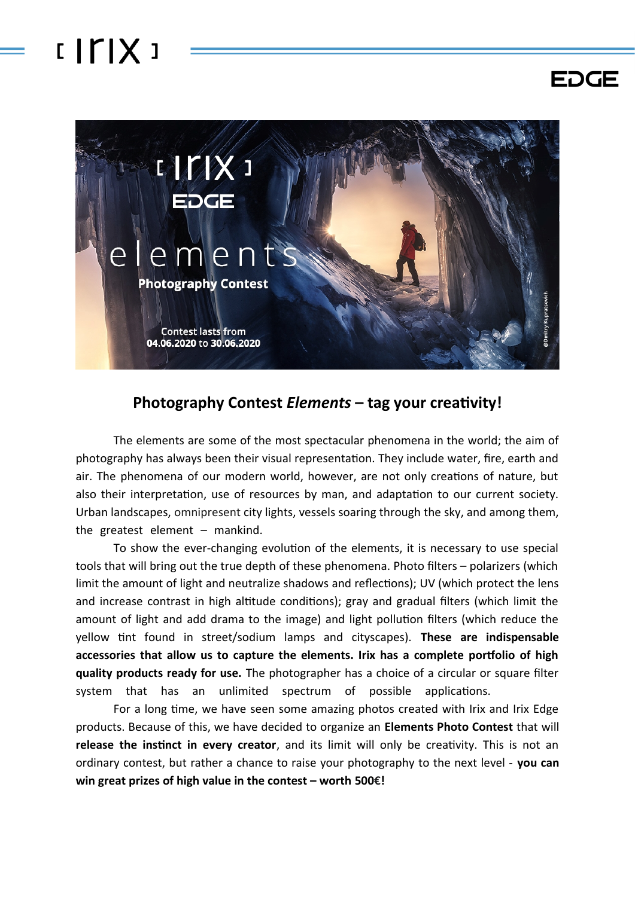## $IITIX$



**EDGE** 

## **Photography Contest** *Elements* **– tag your creativity!**

The elements are some of the most spectacular phenomena in the world; the aim of photography has always been their visual representation. They include water, fire, earth and air. The phenomena of our modern world, however, are not only creations of nature, but also their interpretation, use of resources by man, and adaptation to our current society. Urban landscapes, omnipresent city lights, vessels soaring through the sky, and among them, the greatest element  $-$  mankind.

To show the ever-changing evolution of the elements, it is necessary to use special tools that will bring out the true depth of these phenomena. Photo filters – polarizers (which limit the amount of light and neutralize shadows and reflections); UV (which protect the lens and increase contrast in high altitude conditions); gray and gradual filters (which limit the amount of light and add drama to the image) and light pollution filters (which reduce the yellow tint found in street/sodium lamps and cityscapes). **These are indispensable accessories that allow us to capture the elements. Irix has a complete portfolio of high quality products ready for use.** The photographer has a choice of a circular or square filter system that has an unlimited spectrum of possible applications.

For a long time, we have seen some amazing photos created with Irix and Irix Edge products. Because of this, we have decided to organize an **Elements Photo Contest** that will **release the instinct in every creator**, and its limit will only be creativity. This is not an ordinary contest, but rather a chance to raise your photography to the next level - **you can win great prizes of high value in the contest – worth 500€!**